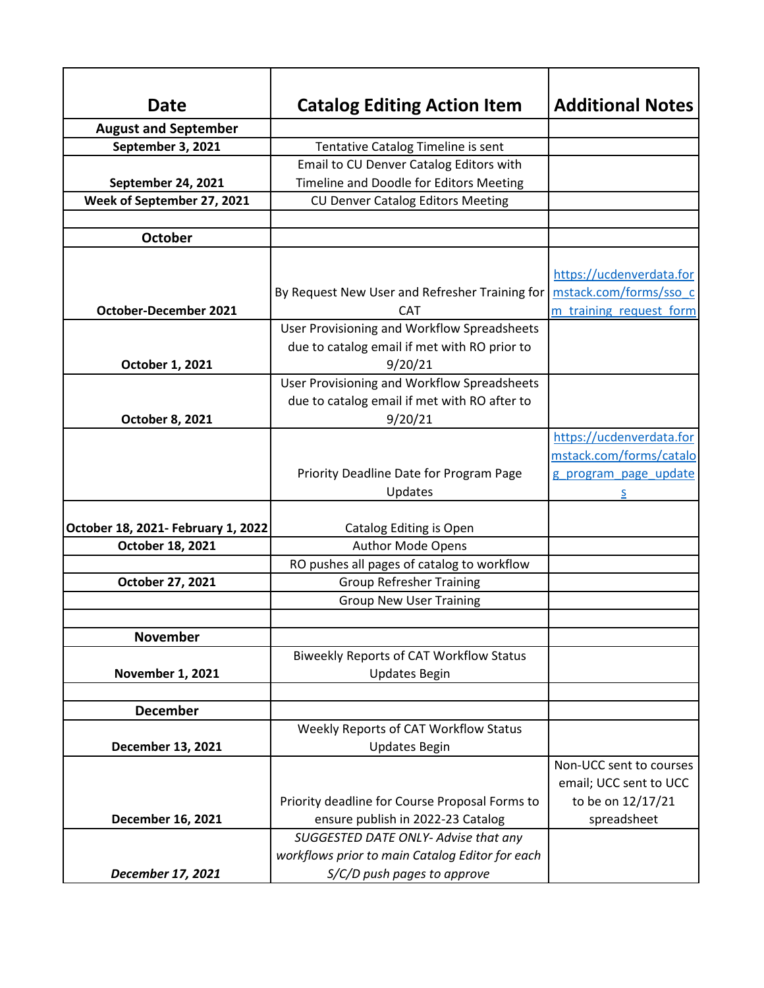| <b>Date</b>                        | <b>Catalog Editing Action Item</b>              | <b>Additional Notes</b>  |
|------------------------------------|-------------------------------------------------|--------------------------|
| <b>August and September</b>        |                                                 |                          |
| September 3, 2021                  | Tentative Catalog Timeline is sent              |                          |
|                                    | Email to CU Denver Catalog Editors with         |                          |
| September 24, 2021                 | Timeline and Doodle for Editors Meeting         |                          |
| Week of September 27, 2021         | <b>CU Denver Catalog Editors Meeting</b>        |                          |
|                                    |                                                 |                          |
| <b>October</b>                     |                                                 |                          |
|                                    |                                                 |                          |
|                                    |                                                 | https://ucdenverdata.for |
|                                    | By Request New User and Refresher Training for  | mstack.com/forms/sso c   |
| <b>October-December 2021</b>       | <b>CAT</b>                                      | m training request form  |
|                                    | User Provisioning and Workflow Spreadsheets     |                          |
|                                    | due to catalog email if met with RO prior to    |                          |
| October 1, 2021                    | 9/20/21                                         |                          |
|                                    | User Provisioning and Workflow Spreadsheets     |                          |
|                                    | due to catalog email if met with RO after to    |                          |
| October 8, 2021                    | 9/20/21                                         |                          |
|                                    |                                                 | https://ucdenverdata.for |
|                                    |                                                 | mstack.com/forms/catalo  |
|                                    | Priority Deadline Date for Program Page         | g program page update    |
|                                    | Updates                                         |                          |
|                                    |                                                 |                          |
| October 18, 2021- February 1, 2022 | Catalog Editing is Open                         |                          |
| October 18, 2021                   | <b>Author Mode Opens</b>                        |                          |
|                                    | RO pushes all pages of catalog to workflow      |                          |
| October 27, 2021                   | <b>Group Refresher Training</b>                 |                          |
|                                    | <b>Group New User Training</b>                  |                          |
|                                    |                                                 |                          |
| <b>November</b>                    |                                                 |                          |
|                                    | <b>Biweekly Reports of CAT Workflow Status</b>  |                          |
| <b>November 1, 2021</b>            | <b>Updates Begin</b>                            |                          |
|                                    |                                                 |                          |
| <b>December</b>                    |                                                 |                          |
|                                    | Weekly Reports of CAT Workflow Status           |                          |
| December 13, 2021                  | <b>Updates Begin</b>                            |                          |
|                                    |                                                 | Non-UCC sent to courses  |
|                                    |                                                 | email; UCC sent to UCC   |
|                                    | Priority deadline for Course Proposal Forms to  | to be on 12/17/21        |
| December 16, 2021                  | ensure publish in 2022-23 Catalog               | spreadsheet              |
|                                    | SUGGESTED DATE ONLY- Advise that any            |                          |
|                                    | workflows prior to main Catalog Editor for each |                          |
| December 17, 2021                  | S/C/D push pages to approve                     |                          |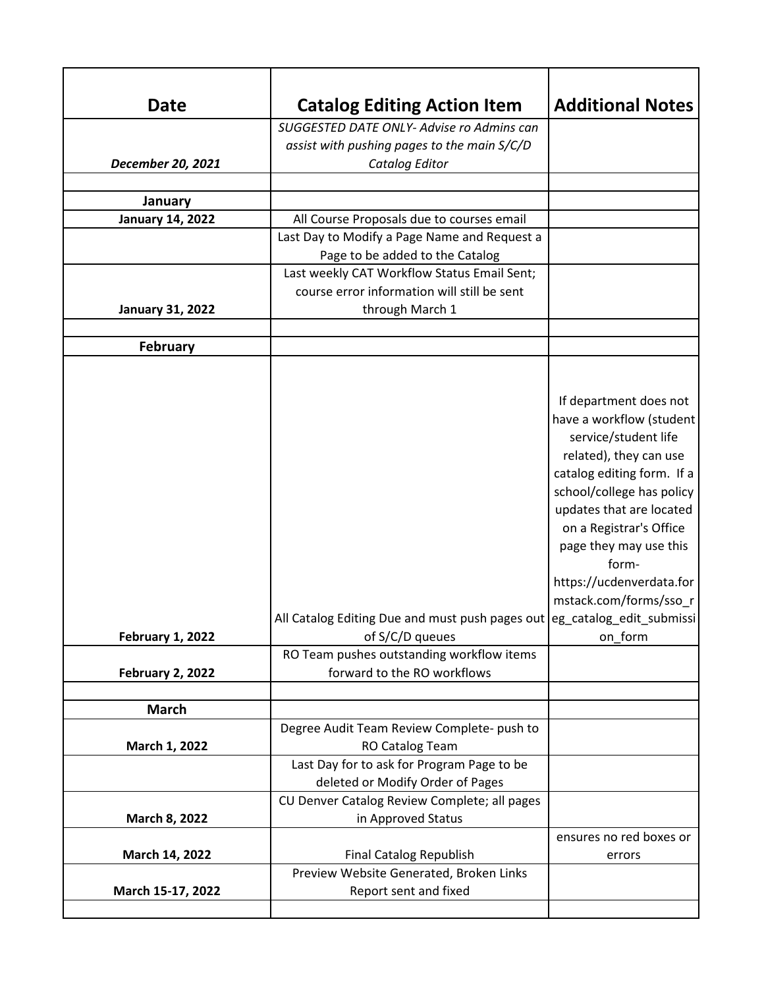| <b>Date</b>             | <b>Catalog Editing Action Item</b>                                                        | <b>Additional Notes</b>    |
|-------------------------|-------------------------------------------------------------------------------------------|----------------------------|
|                         | SUGGESTED DATE ONLY- Advise ro Admins can                                                 |                            |
|                         | assist with pushing pages to the main S/C/D                                               |                            |
| December 20, 2021       | Catalog Editor                                                                            |                            |
|                         |                                                                                           |                            |
| January                 |                                                                                           |                            |
| <b>January 14, 2022</b> | All Course Proposals due to courses email<br>Last Day to Modify a Page Name and Request a |                            |
|                         | Page to be added to the Catalog                                                           |                            |
|                         | Last weekly CAT Workflow Status Email Sent;                                               |                            |
|                         | course error information will still be sent                                               |                            |
| <b>January 31, 2022</b> | through March 1                                                                           |                            |
|                         |                                                                                           |                            |
| <b>February</b>         |                                                                                           |                            |
|                         |                                                                                           |                            |
|                         |                                                                                           |                            |
|                         |                                                                                           | If department does not     |
|                         |                                                                                           | have a workflow (student   |
|                         |                                                                                           | service/student life       |
|                         |                                                                                           | related), they can use     |
|                         |                                                                                           | catalog editing form. If a |
|                         |                                                                                           | school/college has policy  |
|                         |                                                                                           | updates that are located   |
|                         |                                                                                           | on a Registrar's Office    |
|                         |                                                                                           | page they may use this     |
|                         |                                                                                           | form-                      |
|                         |                                                                                           | https://ucdenverdata.for   |
|                         |                                                                                           | mstack.com/forms/sso r     |
|                         | All Catalog Editing Due and must push pages out eg_catalog_edit_submissi                  |                            |
| <b>February 1, 2022</b> | of S/C/D queues                                                                           | on_form                    |
| <b>February 2, 2022</b> | RO Team pushes outstanding workflow items<br>forward to the RO workflows                  |                            |
|                         |                                                                                           |                            |
| <b>March</b>            |                                                                                           |                            |
|                         | Degree Audit Team Review Complete- push to                                                |                            |
| March 1, 2022           | RO Catalog Team                                                                           |                            |
|                         | Last Day for to ask for Program Page to be                                                |                            |
|                         | deleted or Modify Order of Pages                                                          |                            |
|                         | CU Denver Catalog Review Complete; all pages                                              |                            |
| March 8, 2022           | in Approved Status                                                                        |                            |
|                         |                                                                                           | ensures no red boxes or    |
| March 14, 2022          | <b>Final Catalog Republish</b>                                                            | errors                     |
|                         | Preview Website Generated, Broken Links                                                   |                            |
| March 15-17, 2022       | Report sent and fixed                                                                     |                            |
|                         |                                                                                           |                            |